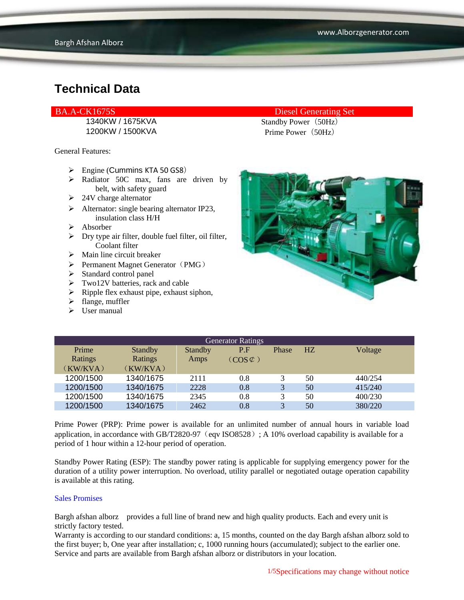1200KW / 1500KVA Prime Power (50Hz)

General Features:

- $\triangleright$  Engine (Cummins KTA 50 GS8)
- > Radiator 50C max, fans are driven by belt, with safety guard
- $\geq 24V$  charge alternator
- $\triangleright$  Alternator: single bearing alternator IP23, insulation class H/H
- $\triangleright$  Absorber
- $\triangleright$  Dry type air filter, double fuel filter, oil filter, Coolant filter
- $\triangleright$  Main line circuit breaker
- $\triangleright$  Permanent Magnet Generator (PMG)
- $\triangleright$  Standard control panel
- > Two12V batteries, rack and cable
- $\triangleright$  Ripple flex exhaust pipe, exhaust siphon,
- $\triangleright$  flange, muffler
- $\triangleright$  User manual

#### BA.A-CK1675S Diesel Generating Set

1340KW / 1675KVA Standby Power (50Hz)



| <b>Generator Ratings</b> |                |                |                     |              |    |         |
|--------------------------|----------------|----------------|---------------------|--------------|----|---------|
| Prime                    | <b>Standby</b> | <b>Standby</b> | P.F                 | <b>Phase</b> | HZ | Voltage |
| Ratings                  | Ratings        | Amps           | $(COS \mathcal{L})$ |              |    |         |
| (KW/KVA)                 | (KW/KVA)       |                |                     |              |    |         |
| 1200/1500                | 1340/1675      | 2111           | 0.8                 | 3            | 50 | 440/254 |
| 1200/1500                | 1340/1675      | 2228           | 0.8                 | 3            | 50 | 415/240 |
| 1200/1500                | 1340/1675      | 2345           | 0.8                 | 3            | 50 | 400/230 |
| 1200/1500                | 1340/1675      | 2462           | 0.8                 | 3            | 50 | 380/220 |

Prime Power (PRP): Prime power is available for an unlimited number of annual hours in variable load application, in accordance with GB/T2820-97 (eqv ISO8528); A 10% overload capability is available for a period of 1 hour within a 12-hour period of operation.

Standby Power Rating (ESP): The standby power rating is applicable for supplying emergency power for the duration of a utility power interruption. No overload, utility parallel or negotiated outage operation capability is available at this rating.

#### Sales Promises

Bargh afshan alborz provides a full line of brand new and high quality products. Each and every unit is strictly factory tested.

Warranty is according to our standard conditions: a, 15 months, counted on the day Bargh afshan alborz sold to the first buyer; b, One year after installation; c, 1000 running hours (accumulated); subject to the earlier one. Service and parts are available from Bargh afshan alborz or distributors in your location.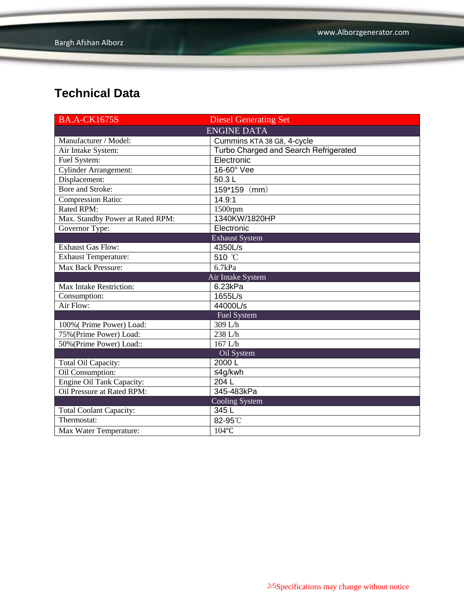| <b>BA.A-CK1675S</b>              | <b>Diesel Generating Set</b>          |  |  |  |  |
|----------------------------------|---------------------------------------|--|--|--|--|
| <b>ENGINE DATA</b>               |                                       |  |  |  |  |
| Manufacturer / Model:            | Cummins KTA 38 G8, 4-cycle            |  |  |  |  |
| Air Intake System:               | Turbo Charged and Search Refrigerated |  |  |  |  |
| Fuel System:                     | Electronic                            |  |  |  |  |
| <b>Cylinder Arrangement:</b>     | 16-60° Vee                            |  |  |  |  |
| Displacement:                    | 50.3L                                 |  |  |  |  |
| <b>Bore and Stroke:</b>          | 159*159 (mm)                          |  |  |  |  |
| <b>Compression Ratio:</b>        | 14.9:1                                |  |  |  |  |
| Rated RPM:                       | 1500rpm                               |  |  |  |  |
| Max. Standby Power at Rated RPM: | 1340KW/1820HP                         |  |  |  |  |
| Governor Type:                   | Electronic                            |  |  |  |  |
|                                  | <b>Exhaust System</b>                 |  |  |  |  |
| <b>Exhaust Gas Flow:</b>         | 4350L/s                               |  |  |  |  |
| <b>Exhaust Temperature:</b>      | 510 °C                                |  |  |  |  |
| Max Back Pressure:               | 6.7kPa                                |  |  |  |  |
|                                  | Air Intake System                     |  |  |  |  |
| Max Intake Restriction:          | 6.23kPa                               |  |  |  |  |
| Consumption:                     | 1655L/s                               |  |  |  |  |
| Air Flow:                        | 44000L/s                              |  |  |  |  |
| Fuel System                      |                                       |  |  |  |  |
| 100% (Prime Power) Load:         | 309 L/h                               |  |  |  |  |
| 75% (Prime Power) Load:          | 238 L/h                               |  |  |  |  |
| 50% (Prime Power) Load::         | $167$ L/h                             |  |  |  |  |
|                                  | Oil System                            |  |  |  |  |
| Total Oil Capacity:              | 2000L                                 |  |  |  |  |
| Oil Consumption:                 | ≤4g/kwh                               |  |  |  |  |
| <b>Engine Oil Tank Capacity:</b> | 204L                                  |  |  |  |  |
| Oil Pressure at Rated RPM:       | 345-483kPa                            |  |  |  |  |
|                                  | <b>Cooling System</b>                 |  |  |  |  |
| <b>Total Coolant Capacity:</b>   | 345L                                  |  |  |  |  |
| Thermostat:                      | 82-95°C                               |  |  |  |  |
| Max Water Temperature:           | 104°C                                 |  |  |  |  |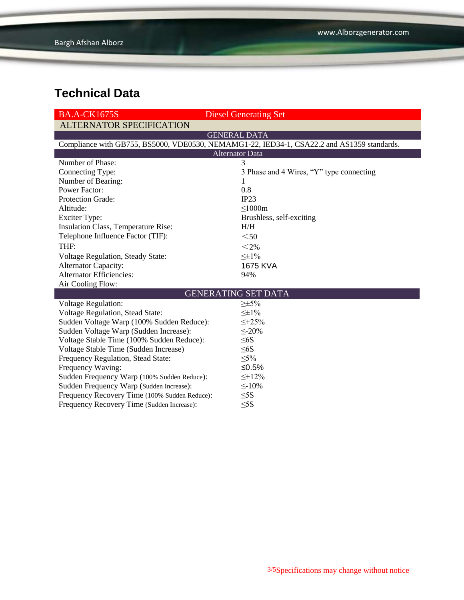| <b>BA.A-CK1675S</b>                                                                        | <b>Diesel Generating Set</b>             |  |  |  |  |
|--------------------------------------------------------------------------------------------|------------------------------------------|--|--|--|--|
| <b>ALTERNATOR SPECIFICATION</b>                                                            |                                          |  |  |  |  |
| <b>GENERAL DATA</b>                                                                        |                                          |  |  |  |  |
| Compliance with GB755, BS5000, VDE0530, NEMAMG1-22, IED34-1, CSA22.2 and AS1359 standards. |                                          |  |  |  |  |
| <b>Alternator Data</b>                                                                     |                                          |  |  |  |  |
| Number of Phase:                                                                           | 3                                        |  |  |  |  |
| Connecting Type:                                                                           | 3 Phase and 4 Wires, "Y" type connecting |  |  |  |  |
| Number of Bearing:                                                                         | 1                                        |  |  |  |  |
| <b>Power Factor:</b>                                                                       | 0.8                                      |  |  |  |  |
| Protection Grade:                                                                          | IP23                                     |  |  |  |  |
| Altitude:                                                                                  | $\leq$ 1000m                             |  |  |  |  |
| <b>Exciter Type:</b>                                                                       | Brushless, self-exciting                 |  |  |  |  |
| <b>Insulation Class, Temperature Rise:</b>                                                 | H/H                                      |  |  |  |  |
| Telephone Influence Factor (TIF):                                                          | $50$                                     |  |  |  |  |
| THF:                                                                                       | $<$ 2%                                   |  |  |  |  |
| <b>Voltage Regulation, Steady State:</b>                                                   | $\leq \pm 1\%$                           |  |  |  |  |
| <b>Alternator Capacity:</b>                                                                | 1675 KVA                                 |  |  |  |  |
| <b>Alternator Efficiencies:</b>                                                            | 94%                                      |  |  |  |  |
| Air Cooling Flow:                                                                          |                                          |  |  |  |  |
| <b>GENERATING SET DATA</b>                                                                 |                                          |  |  |  |  |
| <b>Voltage Regulation:</b>                                                                 | $\geq \pm 5\%$                           |  |  |  |  |
| Voltage Regulation, Stead State:                                                           | $\leq \pm 1\%$                           |  |  |  |  |
| Sudden Voltage Warp (100% Sudden Reduce):                                                  | $\leq +25\%$                             |  |  |  |  |
| Sudden Voltage Warp (Sudden Increase):                                                     | $\leq 20\%$                              |  |  |  |  |
| Voltage Stable Time (100% Sudden Reduce):                                                  | $\leq 6S$                                |  |  |  |  |
| Voltage Stable Time (Sudden Increase)                                                      | $\leq 6S$                                |  |  |  |  |
| Frequency Regulation, Stead State:                                                         | $\leq 5\%$                               |  |  |  |  |
| Frequency Waving:                                                                          | ≤ $0.5%$                                 |  |  |  |  |
| Sudden Frequency Warp (100% Sudden Reduce):                                                | $\leq +12\%$                             |  |  |  |  |
| Sudden Frequency Warp (Sudden Increase):                                                   | $\leq$ -10%                              |  |  |  |  |
| Frequency Recovery Time (100% Sudden Reduce):                                              | $\leq$ 5S                                |  |  |  |  |
| Frequency Recovery Time (Sudden Increase):                                                 | $\leq$ 5S                                |  |  |  |  |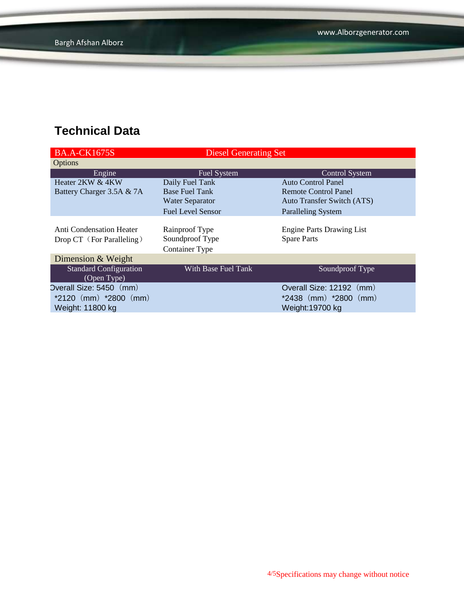| <b>BA.A-CK1675S</b>                                   | <b>Diesel Generating Set</b>                               |                                                        |  |
|-------------------------------------------------------|------------------------------------------------------------|--------------------------------------------------------|--|
| Options                                               |                                                            |                                                        |  |
| Engine                                                | Fuel System                                                | <b>Control System</b>                                  |  |
| Heater 2KW & 4KW                                      | Daily Fuel Tank                                            | Auto Control Panel                                     |  |
| Battery Charger 3.5A & 7A                             | <b>Base Fuel Tank</b>                                      | <b>Remote Control Panel</b>                            |  |
|                                                       | <b>Water Separator</b>                                     | <b>Auto Transfer Switch (ATS)</b>                      |  |
|                                                       | <b>Fuel Level Sensor</b>                                   | <b>Paralleling System</b>                              |  |
| Anti Condensation Heater<br>Drop CT (For Paralleling) | Rainproof Type<br>Soundproof Type<br><b>Container Type</b> | <b>Engine Parts Drawing List</b><br><b>Spare Parts</b> |  |
| Dimension & Weight                                    |                                                            |                                                        |  |
| <b>Standard Configuration</b><br>(Open Type)          | With Base Fuel Tank                                        | Soundproof Type                                        |  |
| Overall Size: 5450 (mm)                               |                                                            | Overall Size: 12192 (mm)                               |  |
| $*2120$ (mm) $*2800$ (mm)                             |                                                            | $*2438$ (mm) $*2800$ (mm)                              |  |
| Weight: 11800 kg                                      |                                                            | Weight:19700 kg                                        |  |